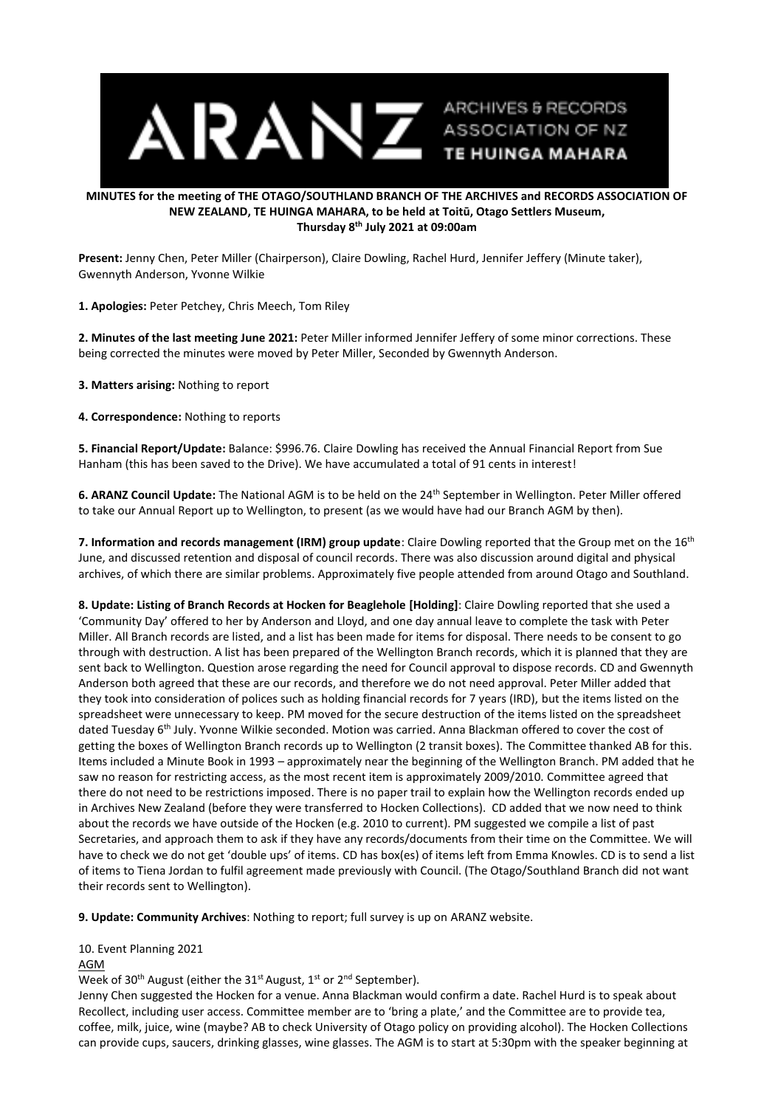

## **MINUTES for the meeting of THE OTAGO/SOUTHLAND BRANCH OF THE ARCHIVES and RECORDS ASSOCIATION OF NEW ZEALAND, TE HUINGA MAHARA, to be held at Toitū, Otago Settlers Museum, Thursday 8 th July 2021 at 09:00am**

**Present:** Jenny Chen, Peter Miller (Chairperson), Claire Dowling, Rachel Hurd, Jennifer Jeffery (Minute taker), Gwennyth Anderson, Yvonne Wilkie

**1. Apologies:** Peter Petchey, Chris Meech, Tom Riley

**2. Minutes of the last meeting June 2021:** Peter Miller informed Jennifer Jeffery of some minor corrections. These being corrected the minutes were moved by Peter Miller, Seconded by Gwennyth Anderson.

**3. Matters arising:** Nothing to report

**4. Correspondence:** Nothing to reports

**5. Financial Report/Update:** Balance: \$996.76. Claire Dowling has received the Annual Financial Report from Sue Hanham (this has been saved to the Drive). We have accumulated a total of 91 cents in interest!

**6. ARANZ Council Update:** The National AGM is to be held on the 24th September in Wellington. Peter Miller offered to take our Annual Report up to Wellington, to present (as we would have had our Branch AGM by then).

**7. Information and records management (IRM) group update**: Claire Dowling reported that the Group met on the 16th June, and discussed retention and disposal of council records. There was also discussion around digital and physical archives, of which there are similar problems. Approximately five people attended from around Otago and Southland.

**8. Update: Listing of Branch Records at Hocken for Beaglehole [Holding]**: Claire Dowling reported that she used a 'Community Day' offered to her by Anderson and Lloyd, and one day annual leave to complete the task with Peter Miller. All Branch records are listed, and a list has been made for items for disposal. There needs to be consent to go through with destruction. A list has been prepared of the Wellington Branch records, which it is planned that they are sent back to Wellington. Question arose regarding the need for Council approval to dispose records. CD and Gwennyth Anderson both agreed that these are our records, and therefore we do not need approval. Peter Miller added that they took into consideration of polices such as holding financial records for 7 years (IRD), but the items listed on the spreadsheet were unnecessary to keep. PM moved for the secure destruction of the items listed on the spreadsheet dated Tuesday 6<sup>th</sup> July. Yvonne Wilkie seconded. Motion was carried. Anna Blackman offered to cover the cost of getting the boxes of Wellington Branch records up to Wellington (2 transit boxes). The Committee thanked AB for this. Items included a Minute Book in 1993 – approximately near the beginning of the Wellington Branch. PM added that he saw no reason for restricting access, as the most recent item is approximately 2009/2010. Committee agreed that there do not need to be restrictions imposed. There is no paper trail to explain how the Wellington records ended up in Archives New Zealand (before they were transferred to Hocken Collections). CD added that we now need to think about the records we have outside of the Hocken (e.g. 2010 to current). PM suggested we compile a list of past Secretaries, and approach them to ask if they have any records/documents from their time on the Committee. We will have to check we do not get 'double ups' of items. CD has box(es) of items left from Emma Knowles. CD is to send a list of items to Tiena Jordan to fulfil agreement made previously with Council. (The Otago/Southland Branch did not want their records sent to Wellington).

**9. Update: Community Archives**: Nothing to report; full survey is up on ARANZ website.

10. Event Planning 2021

## AGM

Week of 30<sup>th</sup> August (either the 31<sup>st</sup> August, 1<sup>st</sup> or 2<sup>nd</sup> September).

Jenny Chen suggested the Hocken for a venue. Anna Blackman would confirm a date. Rachel Hurd is to speak about Recollect, including user access. Committee member are to 'bring a plate,' and the Committee are to provide tea, coffee, milk, juice, wine (maybe? AB to check University of Otago policy on providing alcohol). The Hocken Collections can provide cups, saucers, drinking glasses, wine glasses. The AGM is to start at 5:30pm with the speaker beginning at